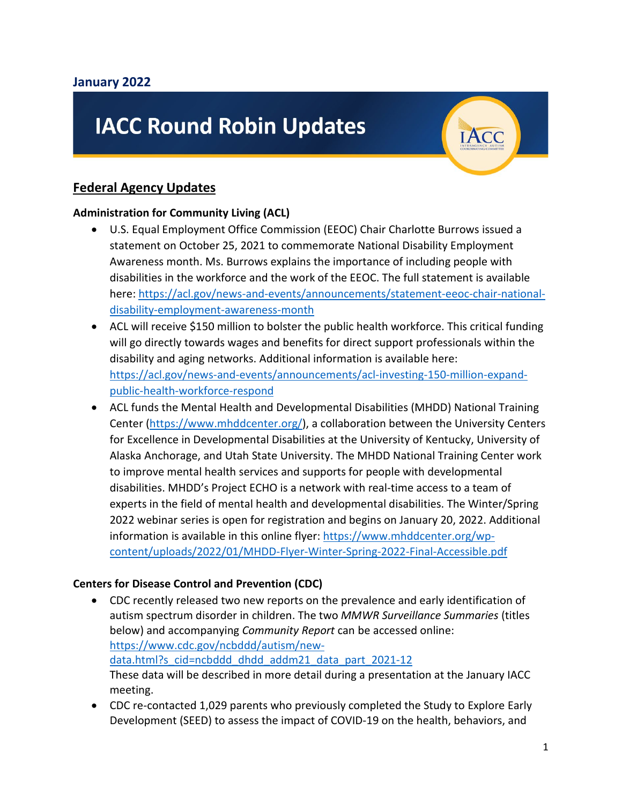# **IACC Round Robin Updates**

# **Federal Agency Updates**

#### **Administration for Community Living (ACL)**

- U.S. Equal Employment Office Commission (EEOC) Chair Charlotte Burrows issued a statement on October 25, 2021 to commemorate National Disability Employment Awareness month. Ms. Burrows explains the importance of including people with disabilities in the workforce and the work of the EEOC. The full statement is available here: [https://acl.gov/news-and-events/announcements/statement-eeoc-chair-national](https://acl.gov/news-and-events/announcements/statement-eeoc-chair-national-disability-employment-awareness-month)[disability-employment-awareness-month](https://acl.gov/news-and-events/announcements/statement-eeoc-chair-national-disability-employment-awareness-month)
- ACL will receive \$150 million to bolster the public health workforce. This critical funding will go directly towards wages and benefits for direct support professionals within the disability and aging networks. Additional information is available here: [https://acl.gov/news-and-events/announcements/acl-investing-150-million-expand](https://acl.gov/news-and-events/announcements/acl-investing-150-million-expand-public-health-workforce-respond)[public-health-workforce-respond](https://acl.gov/news-and-events/announcements/acl-investing-150-million-expand-public-health-workforce-respond)
- ACL funds the Mental Health and Developmental Disabilities (MHDD) National Training Center [\(https://www.mhddcenter.org/\)](https://www.mhddcenter.org/), a collaboration between the University Centers for Excellence in Developmental Disabilities at the University of Kentucky, University of Alaska Anchorage, and Utah State University. The MHDD National Training Center work to improve mental health services and supports for people with developmental disabilities. MHDD's Project ECHO is a network with real-time access to a team of experts in the field of mental health and developmental disabilities. The Winter/Spring 2022 webinar series is open for registration and begins on January 20, 2022. Additional information is available in this online flyer: [https://www.mhddcenter.org/wp](https://www.mhddcenter.org/wp-content/uploads/2022/01/MHDD-Flyer-Winter-Spring-2022-Final-Accessible.pdf)[content/uploads/2022/01/MHDD-Flyer-Winter-Spring-2022-Final-Accessible.pdf](https://www.mhddcenter.org/wp-content/uploads/2022/01/MHDD-Flyer-Winter-Spring-2022-Final-Accessible.pdf)

## **Centers for Disease Control and Prevention (CDC)**

- CDC recently released two new reports on the prevalence and early identification of autism spectrum disorder in children. The two *MMWR Surveillance Summaries* (titles below) and accompanying *Community Report* can be accessed online: [https://www.cdc.gov/ncbddd/autism/new](https://www.cdc.gov/ncbddd/autism/new-data.html?s_cid=ncbddd_dhdd_addm21_data_part_2021-12)[data.html?s\\_cid=ncbddd\\_dhdd\\_addm21\\_data\\_part\\_2021-12](https://www.cdc.gov/ncbddd/autism/new-data.html?s_cid=ncbddd_dhdd_addm21_data_part_2021-12)  These data will be described in more detail during a presentation at the January IACC meeting.
- CDC re-contacted 1,029 parents who previously completed the Study to Explore Early Development (SEED) to assess the impact of COVID-19 on the health, behaviors, and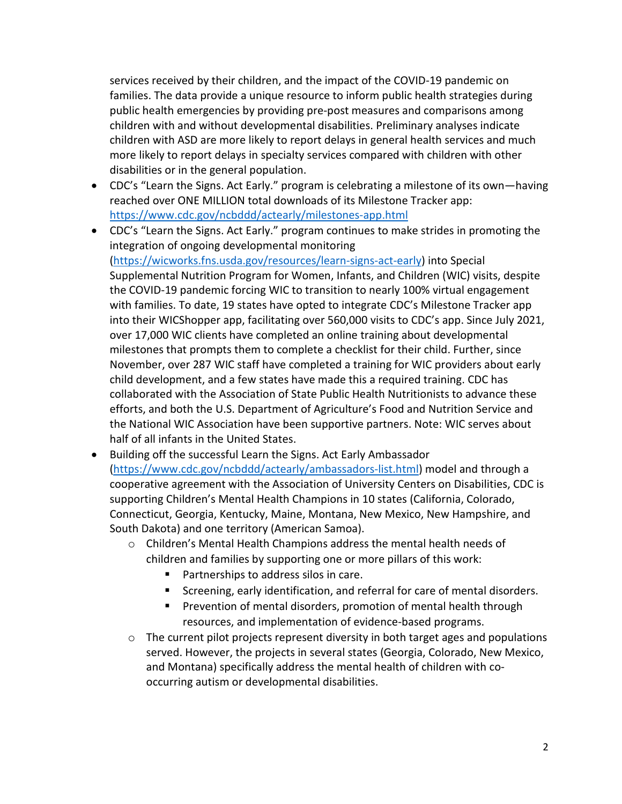services received by their children, and the impact of the COVID-19 pandemic on families. The data provide a unique resource to inform public health strategies during public health emergencies by providing pre-post measures and comparisons among children with and without developmental disabilities. Preliminary analyses indicate children with ASD are more likely to report delays in general health services and much more likely to report delays in specialty services compared with children with other disabilities or in the general population.

- CDC's "Learn the Signs. Act Early." program is celebrating a milestone of its own—having reached over ONE MILLION total downloads of its Milestone Tracker app: https://www.cdc.gov/ncbddd/actearly/milestones-app.html
- CDC's "Learn the Signs. Act Early." program continues to make strides in promoting the integration of ongoing developmental monitoring [\(https://wicworks.fns.usda.gov/resources/learn-signs-act-early\)](https://wicworks.fns.usda.gov/resources/learn-signs-act-early) into Special Supplemental Nutrition Program for Women, Infants, and Children (WIC) visits, despite the COVID-19 pandemic forcing WIC to transition to nearly 100% virtual engagement with families. To date, 19 states have opted to integrate CDC's Milestone Tracker app into their WICShopper app, facilitating over 560,000 visits to CDC's app. Since July 2021, over 17,000 WIC clients have completed an online training about developmental milestones that prompts them to complete a checklist for their child. Further, since November, over 287 WIC staff have completed a training for WIC providers about early child development, and a few states have made this a required training. CDC has collaborated with the Association of State Public Health Nutritionists to advance these efforts, and both the U.S. Department of Agriculture's Food and Nutrition Service and the National WIC Association have been supportive partners. Note: WIC serves about half of all infants in the United States.
- Building off the successful Learn the Signs. Act Early Ambassador [\(https://www.cdc.gov/ncbddd/actearly/ambassadors-list.html\)](https://www.cdc.gov/ncbddd/actearly/ambassadors-list.html) model and through a cooperative agreement with the Association of University Centers on Disabilities, CDC is supporting Children's Mental Health Champions in 10 states (California, Colorado, Connecticut, Georgia, Kentucky, Maine, Montana, New Mexico, New Hampshire, and South Dakota) and one territory (American Samoa).
	- o Children's Mental Health Champions address the mental health needs of children and families by supporting one or more pillars of this work:
		- **Partnerships to address silos in care.**
		- Screening, early identification, and referral for care of mental disorders.
		- Prevention of mental disorders, promotion of mental health through resources, and implementation of evidence-based programs.
	- $\circ$  The current pilot projects represent diversity in both target ages and populations served. However, the projects in several states (Georgia, Colorado, New Mexico, and Montana) specifically address the mental health of children with cooccurring autism or developmental disabilities.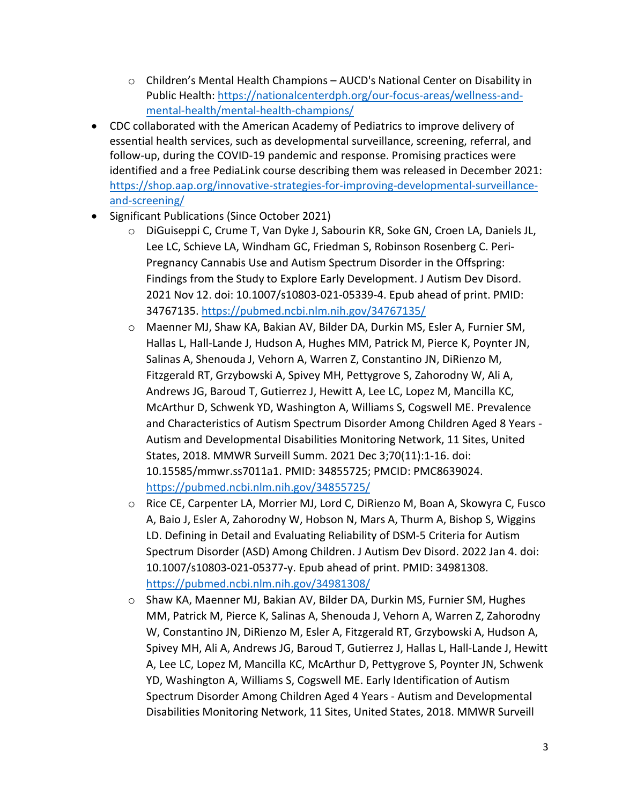- o Children's Mental Health Champions AUCD's National Center on Disability in Public Health: [https://nationalcenterdph.org/our-focus-areas/wellness-and](https://nationalcenterdph.org/our-focus-areas/wellness-and-mental-health/mental-health-champions/)[mental-health/mental-health-champions/](https://nationalcenterdph.org/our-focus-areas/wellness-and-mental-health/mental-health-champions/)
- CDC collaborated with the American Academy of Pediatrics to improve delivery of essential health services, such as developmental surveillance, screening, referral, and follow-up, during the COVID-19 pandemic and response. Promising practices were identified and a free PediaLink course describing them was released in December 2021: [https://shop.aap.org/innovative-strategies-for-improving-developmental-surveillance](https://shop.aap.org/innovative-strategies-for-improving-developmental-surveillance-and-screening/)[and-screening/](https://shop.aap.org/innovative-strategies-for-improving-developmental-surveillance-and-screening/)
- Significant Publications (Since October 2021)
	- o DiGuiseppi C, Crume T, Van Dyke J, Sabourin KR, Soke GN, Croen LA, Daniels JL, Lee LC, Schieve LA, Windham GC, Friedman S, Robinson Rosenberg C. Peri-Pregnancy Cannabis Use and Autism Spectrum Disorder in the Offspring: Findings from the Study to Explore Early Development. J Autism Dev Disord. 2021 Nov 12. doi: 10.1007/s10803-021-05339-4. Epub ahead of print. PMID: 34767135.<https://pubmed.ncbi.nlm.nih.gov/34767135/>
	- o Maenner MJ, Shaw KA, Bakian AV, Bilder DA, Durkin MS, Esler A, Furnier SM, Hallas L, Hall-Lande J, Hudson A, Hughes MM, Patrick M, Pierce K, Poynter JN, Salinas A, Shenouda J, Vehorn A, Warren Z, Constantino JN, DiRienzo M, Fitzgerald RT, Grzybowski A, Spivey MH, Pettygrove S, Zahorodny W, Ali A, Andrews JG, Baroud T, Gutierrez J, Hewitt A, Lee LC, Lopez M, Mancilla KC, McArthur D, Schwenk YD, Washington A, Williams S, Cogswell ME. Prevalence and Characteristics of Autism Spectrum Disorder Among Children Aged 8 Years - Autism and Developmental Disabilities Monitoring Network, 11 Sites, United States, 2018. MMWR Surveill Summ. 2021 Dec 3;70(11):1-16. doi: 10.15585/mmwr.ss7011a1. PMID: 34855725; PMCID: PMC8639024. <https://pubmed.ncbi.nlm.nih.gov/34855725/>
	- o Rice CE, Carpenter LA, Morrier MJ, Lord C, DiRienzo M, Boan A, Skowyra C, Fusco A, Baio J, Esler A, Zahorodny W, Hobson N, Mars A, Thurm A, Bishop S, Wiggins LD. Defining in Detail and Evaluating Reliability of DSM-5 Criteria for Autism Spectrum Disorder (ASD) Among Children. J Autism Dev Disord. 2022 Jan 4. doi: 10.1007/s10803-021-05377-y. Epub ahead of print. PMID: 34981308. <https://pubmed.ncbi.nlm.nih.gov/34981308/>
	- o Shaw KA, Maenner MJ, Bakian AV, Bilder DA, Durkin MS, Furnier SM, Hughes MM, Patrick M, Pierce K, Salinas A, Shenouda J, Vehorn A, Warren Z, Zahorodny W, Constantino JN, DiRienzo M, Esler A, Fitzgerald RT, Grzybowski A, Hudson A, Spivey MH, Ali A, Andrews JG, Baroud T, Gutierrez J, Hallas L, Hall-Lande J, Hewitt A, Lee LC, Lopez M, Mancilla KC, McArthur D, Pettygrove S, Poynter JN, Schwenk YD, Washington A, Williams S, Cogswell ME. Early Identification of Autism Spectrum Disorder Among Children Aged 4 Years - Autism and Developmental Disabilities Monitoring Network, 11 Sites, United States, 2018. MMWR Surveill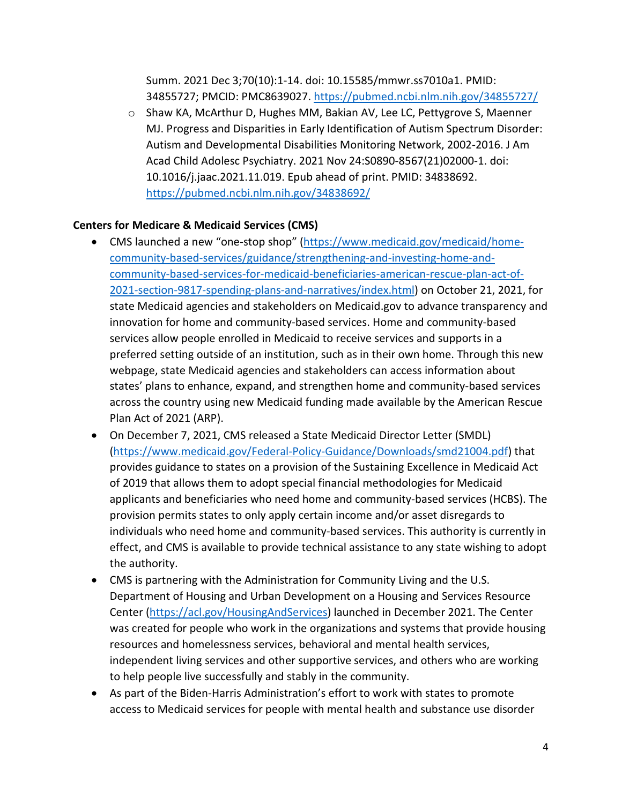Summ. 2021 Dec 3;70(10):1-14. doi: 10.15585/mmwr.ss7010a1. PMID: 34855727; PMCID: PMC8639027.<https://pubmed.ncbi.nlm.nih.gov/34855727/>

o Shaw KA, McArthur D, Hughes MM, Bakian AV, Lee LC, Pettygrove S, Maenner MJ. Progress and Disparities in Early Identification of Autism Spectrum Disorder: Autism and Developmental Disabilities Monitoring Network, 2002-2016. J Am Acad Child Adolesc Psychiatry. 2021 Nov 24:S0890-8567(21)02000-1. doi: 10.1016/j.jaac.2021.11.019. Epub ahead of print. PMID: 34838692. <https://pubmed.ncbi.nlm.nih.gov/34838692/>

## **Centers for Medicare & Medicaid Services (CMS)**

- CMS launched a new "one-stop shop" [\(https://www.medicaid.gov/medicaid/home](https://www.medicaid.gov/medicaid/home-community-based-services/guidance/strengthening-and-investing-home-and-community-based-services-for-medicaid-beneficiaries-american-rescue-plan-act-of-2021-section-9817-spending-plans-and-narratives/index.html)[community-based-services/guidance/strengthening-and-investing-home-and](https://www.medicaid.gov/medicaid/home-community-based-services/guidance/strengthening-and-investing-home-and-community-based-services-for-medicaid-beneficiaries-american-rescue-plan-act-of-2021-section-9817-spending-plans-and-narratives/index.html)[community-based-services-for-medicaid-beneficiaries-american-rescue-plan-act-of-](https://www.medicaid.gov/medicaid/home-community-based-services/guidance/strengthening-and-investing-home-and-community-based-services-for-medicaid-beneficiaries-american-rescue-plan-act-of-2021-section-9817-spending-plans-and-narratives/index.html)[2021-section-9817-spending-plans-and-narratives/index.html\)](https://www.medicaid.gov/medicaid/home-community-based-services/guidance/strengthening-and-investing-home-and-community-based-services-for-medicaid-beneficiaries-american-rescue-plan-act-of-2021-section-9817-spending-plans-and-narratives/index.html) on October 21, 2021, for state Medicaid agencies and stakeholders on Medicaid.gov to advance transparency and innovation for home and community-based services. Home and community-based services allow people enrolled in Medicaid to receive services and supports in a preferred setting outside of an institution, such as in their own home. Through this new webpage, state Medicaid agencies and stakeholders can access information about states' plans to enhance, expand, and strengthen home and community-based services across the country using new Medicaid funding made available by the American Rescue Plan Act of 2021 (ARP).
- On December 7, 2021, CMS released a State Medicaid Director Letter (SMDL) [\(https://www.medicaid.gov/Federal-Policy-Guidance/Downloads/smd21004.pdf\)](https://www.medicaid.gov/Federal-Policy-Guidance/Downloads/smd21004.pdf) that provides guidance to states on a provision of the Sustaining Excellence in Medicaid Act of 2019 that allows them to adopt special financial methodologies for Medicaid applicants and beneficiaries who need home and community-based services (HCBS). The provision permits states to only apply certain income and/or asset disregards to individuals who need home and community-based services. This authority is currently in effect, and CMS is available to provide technical assistance to any state wishing to adopt the authority.
- CMS is partnering with the Administration for Community Living and the U.S. Department of Housing and Urban Development on a Housing and Services Resource Center [\(https://acl.gov/HousingAndServices\)](https://acl.gov/HousingAndServices) launched in December 2021. The Center was created for people who work in the organizations and systems that provide housing resources and homelessness services, behavioral and mental health services, independent living services and other supportive services, and others who are working to help people live successfully and stably in the community.
- As part of the Biden-Harris Administration's effort to work with states to promote access to Medicaid services for people with mental health and substance use disorder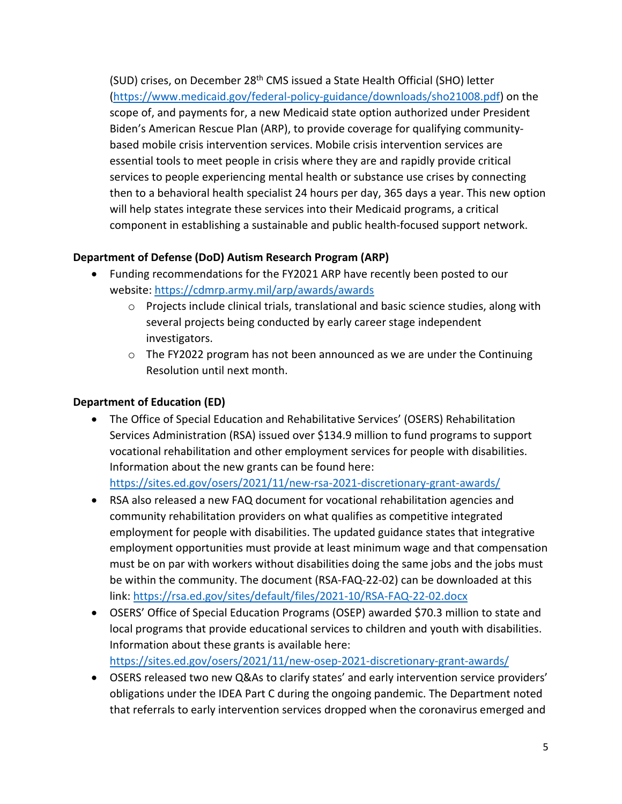(SUD) crises, on December 28<sup>th</sup> CMS issued a State Health Official (SHO) letter [\(https://www.medicaid.gov/federal-policy-guidance/downloads/sho21008.pdf\)](https://www.medicaid.gov/federal-policy-guidance/downloads/sho21008.pdf) on the scope of, and payments for, a new Medicaid state option authorized under President Biden's American Rescue Plan (ARP), to provide coverage for qualifying communitybased mobile crisis intervention services. Mobile crisis intervention services are essential tools to meet people in crisis where they are and rapidly provide critical services to people experiencing mental health or substance use crises by connecting then to a behavioral health specialist 24 hours per day, 365 days a year. This new option will help states integrate these services into their Medicaid programs, a critical component in establishing a sustainable and public health-focused support network.

## **Department of Defense (DoD) Autism Research Program (ARP)**

- Funding recommendations for the FY2021 ARP have recently been posted to our website:<https://cdmrp.army.mil/arp/awards/awards>
	- $\circ$  Projects include clinical trials, translational and basic science studies, along with several projects being conducted by early career stage independent investigators.
	- $\circ$  The FY2022 program has not been announced as we are under the Continuing Resolution until next month.

# **Department of Education (ED)**

- The Office of Special Education and Rehabilitative Services' (OSERS) Rehabilitation Services Administration (RSA) issued over \$134.9 million to fund programs to support vocational rehabilitation and other employment services for people with disabilities. Information about the new grants can be found here: <https://sites.ed.gov/osers/2021/11/new-rsa-2021-discretionary-grant-awards/>
- RSA also released a new FAQ document for vocational rehabilitation agencies and community rehabilitation providers on what qualifies as competitive integrated employment for people with disabilities. The updated guidance states that integrative employment opportunities must provide at least minimum wage and that compensation must be on par with workers without disabilities doing the same jobs and the jobs must be within the community. The document (RSA-FAQ-22-02) can be downloaded at this link:<https://rsa.ed.gov/sites/default/files/2021-10/RSA-FAQ-22-02.docx>
- OSERS' Office of Special Education Programs (OSEP) awarded \$70.3 million to state and local programs that provide educational services to children and youth with disabilities. Information about these grants is available here: <https://sites.ed.gov/osers/2021/11/new-osep-2021-discretionary-grant-awards/>
- OSERS released two new Q&As to clarify states' and early intervention service providers' obligations under the IDEA Part C during the ongoing pandemic. The Department noted that referrals to early intervention services dropped when the coronavirus emerged and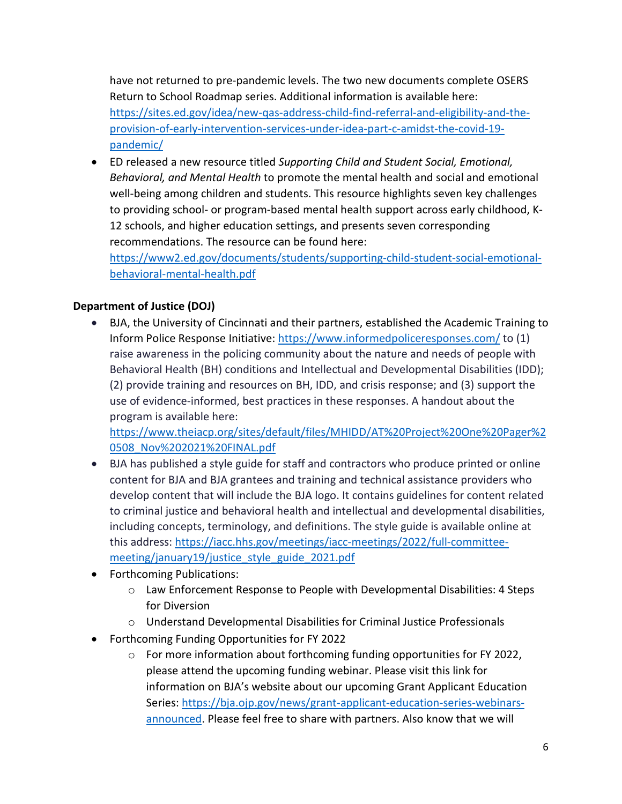have not returned to pre-pandemic levels. The two new documents complete OSERS Return to School Roadmap series. Additional information is available here: [https://sites.ed.gov/idea/new-qas-address-child-find-referral-and-eligibility-and-the](https://sites.ed.gov/idea/new-qas-address-child-find-referral-and-eligibility-and-the-provision-of-early-intervention-services-under-idea-part-c-amidst-the-covid-19-pandemic/)[provision-of-early-intervention-services-under-idea-part-c-amidst-the-covid-19](https://sites.ed.gov/idea/new-qas-address-child-find-referral-and-eligibility-and-the-provision-of-early-intervention-services-under-idea-part-c-amidst-the-covid-19-pandemic/) [pandemic/](https://sites.ed.gov/idea/new-qas-address-child-find-referral-and-eligibility-and-the-provision-of-early-intervention-services-under-idea-part-c-amidst-the-covid-19-pandemic/)

• ED released a new resource titled *Supporting Child and Student Social, Emotional, Behavioral, and Mental Health* to promote the mental health and social and emotional well-being among children and students. This resource highlights seven key challenges to providing school- or program-based mental health support across early childhood, K-12 schools, and higher education settings, and presents seven corresponding recommendations. The resource can be found here:

[https://www2.ed.gov/documents/students/supporting-child-student-social-emotional](https://www2.ed.gov/documents/students/supporting-child-student-social-emotional-behavioral-mental-health.pdf)[behavioral-mental-health.pdf](https://www2.ed.gov/documents/students/supporting-child-student-social-emotional-behavioral-mental-health.pdf)

# **Department of Justice (DOJ)**

• BJA, the University of Cincinnati and their partners, established the Academic Training to Inform Police Response Initiative:<https://www.informedpoliceresponses.com/> to (1) raise awareness in the policing community about the nature and needs of people with Behavioral Health (BH) conditions and Intellectual and Developmental Disabilities (IDD); (2) provide training and resources on BH, IDD, and crisis response; and (3) support the use of evidence-informed, best practices in these responses. A handout about the program is available here:

[https://www.theiacp.org/sites/default/files/MHIDD/AT%20Project%20One%20Pager%2](https://www.theiacp.org/sites/default/files/MHIDD/AT%20Project%20One%20Pager%20508_Nov%202021%20FINAL.pdf) [0508\\_Nov%202021%20FINAL.pdf](https://www.theiacp.org/sites/default/files/MHIDD/AT%20Project%20One%20Pager%20508_Nov%202021%20FINAL.pdf)

- BJA has published a style guide for staff and contractors who produce printed or online content for BJA and BJA grantees and training and technical assistance providers who develop content that will include the BJA logo. It contains guidelines for content related to criminal justice and behavioral health and intellectual and developmental disabilities, including concepts, terminology, and definitions. The style guide is available online at this address: [https://iacc.hhs.gov/meetings/iacc-meetings/2022/full-committee](https://iacc.hhs.gov/meetings/iacc-meetings/2022/full-committee-meeting/january19/justice_style_guide_2021.pdf)[meeting/january19/justice\\_style\\_guide\\_2021.pdf](https://iacc.hhs.gov/meetings/iacc-meetings/2022/full-committee-meeting/january19/justice_style_guide_2021.pdf)
- Forthcoming Publications:
	- o Law Enforcement Response to People with Developmental Disabilities: 4 Steps for Diversion
	- o Understand Developmental Disabilities for Criminal Justice Professionals
- Forthcoming Funding Opportunities for FY 2022
	- o For more information about forthcoming funding opportunities for FY 2022, please attend the upcoming funding webinar. Please visit this link for information on BJA's website about our upcoming Grant Applicant Education Series: [https://bja.ojp.gov/news/grant-applicant-education-series-webinars](https://bja.ojp.gov/news/grant-applicant-education-series-webinars-announced)[announced.](https://bja.ojp.gov/news/grant-applicant-education-series-webinars-announced) Please feel free to share with partners. Also know that we will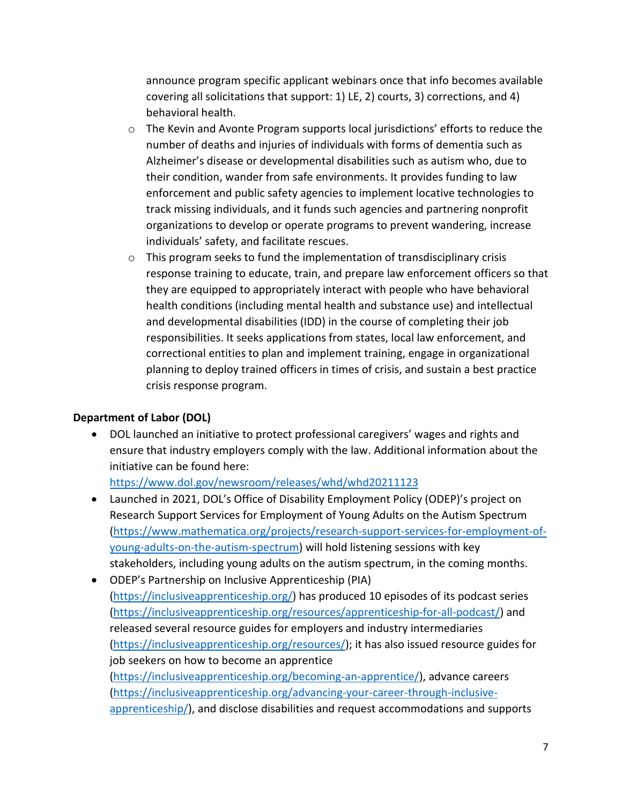announce program specific applicant webinars once that info becomes available covering all solicitations that support: 1) LE, 2) courts, 3) corrections, and 4) behavioral health.

- o The Kevin and Avonte Program supports local jurisdictions' efforts to reduce the number of deaths and injuries of individuals with forms of dementia such as Alzheimer's disease or developmental disabilities such as autism who, due to their condition, wander from safe environments. It provides funding to law enforcement and public safety agencies to implement locative technologies to track missing individuals, and it funds such agencies and partnering nonprofit organizations to develop or operate programs to prevent wandering, increase individuals' safety, and facilitate rescues.
- o This program seeks to fund the implementation of transdisciplinary crisis response training to educate, train, and prepare law enforcement officers so that they are equipped to appropriately interact with people who have behavioral health conditions (including mental health and substance use) and intellectual and developmental disabilities (IDD) in the course of completing their job responsibilities. It seeks applications from states, local law enforcement, and correctional entities to plan and implement training, engage in organizational planning to deploy trained officers in times of crisis, and sustain a best practice crisis response program.

## **Department of Labor (DOL)**

• DOL launched an initiative to protect professional caregivers' wages and rights and ensure that industry employers comply with the law. Additional information about the initiative can be found here:

<https://www.dol.gov/newsroom/releases/whd/whd20211123>

- Launched in 2021, DOL's Office of Disability Employment Policy (ODEP)'s project on Research Support Services for Employment of Young Adults on the Autism Spectrum [\(https://www.mathematica.org/projects/research-support-services-for-employment-of](https://www.mathematica.org/projects/research-support-services-for-employment-of-young-adults-on-the-autism-spectrum)[young-adults-on-the-autism-spectrum\)](https://www.mathematica.org/projects/research-support-services-for-employment-of-young-adults-on-the-autism-spectrum) will hold listening sessions with key stakeholders, including young adults on the autism spectrum, in the coming months.
- ODEP's Partnership on Inclusive Apprenticeship (PIA) [\(https://inclusiveapprenticeship.org/\)](https://inclusiveapprenticeship.org/) has produced 10 episodes of its podcast series [\(https://inclusiveapprenticeship.org/resources/apprenticeship-for-all-podcast/\)](https://inclusiveapprenticeship.org/resources/apprenticeship-for-all-podcast/) and released several resource guides for employers and industry intermediaries [\(https://inclusiveapprenticeship.org/resources/\)](https://inclusiveapprenticeship.org/resources/); it has also issued resource guides for job seekers on how to become an apprentice [\(https://inclusiveapprenticeship.org/becoming-an-apprentice/\)](https://inclusiveapprenticeship.org/becoming-an-apprentice/), advance careers [\(https://inclusiveapprenticeship.org/advancing-your-career-through-inclusive](https://inclusiveapprenticeship.org/advancing-your-career-through-inclusive-apprenticeship/)[apprenticeship/\)](https://inclusiveapprenticeship.org/advancing-your-career-through-inclusive-apprenticeship/), and disclose disabilities and request accommodations and supports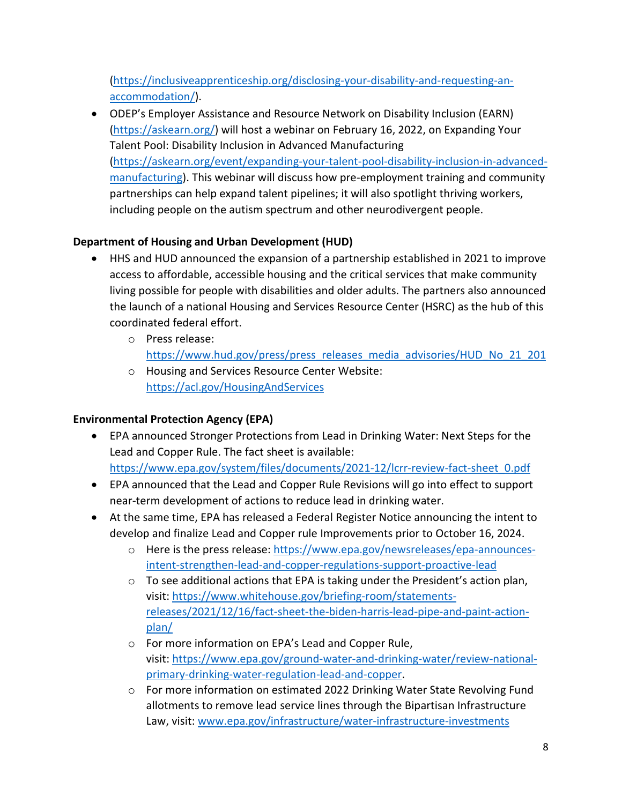[\(https://inclusiveapprenticeship.org/disclosing-your-disability-and-requesting-an](https://inclusiveapprenticeship.org/disclosing-your-disability-and-requesting-an-accommodation/)[accommodation/\)](https://inclusiveapprenticeship.org/disclosing-your-disability-and-requesting-an-accommodation/).

• ODEP's Employer Assistance and Resource Network on Disability Inclusion (EARN) [\(https://askearn.org/\)](https://askearn.org/) will host a webinar on February 16, 2022, on Expanding Your Talent Pool: Disability Inclusion in Advanced Manufacturing [\(https://askearn.org/event/expanding-your-talent-pool-disability-inclusion-in-advanced](https://askearn.org/event/expanding-your-talent-pool-disability-inclusion-in-advanced-manufacturing)[manufacturing\)](https://askearn.org/event/expanding-your-talent-pool-disability-inclusion-in-advanced-manufacturing). This webinar will discuss how pre-employment training and community partnerships can help expand talent pipelines; it will also spotlight thriving workers, including people on the autism spectrum and other neurodivergent people.

# **Department of Housing and Urban Development (HUD)**

- HHS and HUD announced the expansion of a partnership established in 2021 to improve access to affordable, accessible housing and the critical services that make community living possible for people with disabilities and older adults. The partners also announced the launch of a national Housing and Services Resource Center (HSRC) as the hub of this coordinated federal effort.
	- o Press release: [https://www.hud.gov/press/press\\_releases\\_media\\_advisories/HUD\\_No\\_21\\_201](https://www.hud.gov/press/press_releases_media_advisories/HUD_No_21_201)
	- o Housing and Services Resource Center Website: <https://acl.gov/HousingAndServices>

# **Environmental Protection Agency (EPA)**

- EPA announced Stronger Protections from Lead in Drinking Water: Next Steps for the Lead and Copper Rule. The fact sheet is available: [https://www.epa.gov/system/files/documents/2021-12/lcrr-review-fact-sheet\\_0.pdf](https://www.epa.gov/system/files/documents/2021-12/lcrr-review-fact-sheet_0.pdf)
- EPA announced that the Lead and Copper Rule Revisions will go into effect to support near-term development of actions to reduce lead in drinking water.
- At the same time, EPA has released a Federal Register Notice announcing the intent to develop and finalize Lead and Copper rule Improvements prior to October 16, 2024.
	- o Here is the press release: [https://www.epa.gov/newsreleases/epa-announces](https://www.epa.gov/newsreleases/epa-announces-intent-strengthen-lead-and-copper-regulations-support-proactive-lead)[intent-strengthen-lead-and-copper-regulations-support-proactive-lead](https://www.epa.gov/newsreleases/epa-announces-intent-strengthen-lead-and-copper-regulations-support-proactive-lead)
	- o To see additional actions that EPA is taking under the President's action plan, visit: [https://www.whitehouse.gov/briefing-room/statements](https://gcc02.safelinks.protection.outlook.com/?url=https%3A%2F%2Fu7061146.ct.sendgrid.net%2Fls%2Fclick%3Fupn%3D4tNED-2FM8iDZJQyQ53jATUYlRQCUZdW19GSQ0xRkbQXJUjRjEAxtVJql-2BHJvTHLA32qhH5hX0nqeS8zowBMqXwWRdwB1T0mqzXFGE1O-2BDzaZqNi1GQfJbJO8YJI-2BA5eULKTfhpcYIOqqUz1BDJyjakcLt1xbzgVO8PbR2nkeH-2F0hyz13jFeyDdOI9LnWO8w9VPR0Y_HesIlEJRlthUrWgsjQ53DA68mylpwUoZvAj-2BHHE4L43Az9lpIn2GGBP-2FzQs2fH8SY4z6lAqP0ummJsFgFAnbp2QNLONmW3ElXBL3V73ncQjSsfSigspm7Volip6JFEm0T5YKpCoX-2BLf6zyDjGUuHhPhwvUQMd32EtxPWKhiTAUvwvd-2BkxcLHSmbKRIPYQybernH2j2EGnlw6NIUZ90b3ddEktrGspNaTJ085rFjASphGdg6d-2Fc6IZ47LVUCg-2BPlmAQX7wOnEYIzfAki4yaXp9Dv7D1jqmItx9CT6JtiNJkzz3pSOHaWd6hK-2FEvnmPRJHGwoFw4kqYEgLQYACrCB-2BgmlauvryMdURJaTgWFp9WrA-3D&data=04%7C01%7CHubal.Elaine%40epa.gov%7C6c53a67f725f45885d7d08d9c0be59d6%7C88b378b367484867acf976aacbeca6a7%7C0%7C0%7C637752746079316646%7CUnknown%7CTWFpbGZsb3d8eyJWIjoiMC4wLjAwMDAiLCJQIjoiV2luMzIiLCJBTiI6Ik1haWwiLCJXVCI6Mn0%3D%7C3000&sdata=xBRf8GVoR7c7FuL2TKjezmdNCbF8nWKPR55caNYlCyA%3D&reserved=0)[releases/2021/12/16/fact-sheet-the-biden-harris-lead-pipe-and-paint-action](https://gcc02.safelinks.protection.outlook.com/?url=https%3A%2F%2Fu7061146.ct.sendgrid.net%2Fls%2Fclick%3Fupn%3D4tNED-2FM8iDZJQyQ53jATUYlRQCUZdW19GSQ0xRkbQXJUjRjEAxtVJql-2BHJvTHLA32qhH5hX0nqeS8zowBMqXwWRdwB1T0mqzXFGE1O-2BDzaZqNi1GQfJbJO8YJI-2BA5eULKTfhpcYIOqqUz1BDJyjakcLt1xbzgVO8PbR2nkeH-2F0hyz13jFeyDdOI9LnWO8w9VPR0Y_HesIlEJRlthUrWgsjQ53DA68mylpwUoZvAj-2BHHE4L43Az9lpIn2GGBP-2FzQs2fH8SY4z6lAqP0ummJsFgFAnbp2QNLONmW3ElXBL3V73ncQjSsfSigspm7Volip6JFEm0T5YKpCoX-2BLf6zyDjGUuHhPhwvUQMd32EtxPWKhiTAUvwvd-2BkxcLHSmbKRIPYQybernH2j2EGnlw6NIUZ90b3ddEktrGspNaTJ085rFjASphGdg6d-2Fc6IZ47LVUCg-2BPlmAQX7wOnEYIzfAki4yaXp9Dv7D1jqmItx9CT6JtiNJkzz3pSOHaWd6hK-2FEvnmPRJHGwoFw4kqYEgLQYACrCB-2BgmlauvryMdURJaTgWFp9WrA-3D&data=04%7C01%7CHubal.Elaine%40epa.gov%7C6c53a67f725f45885d7d08d9c0be59d6%7C88b378b367484867acf976aacbeca6a7%7C0%7C0%7C637752746079316646%7CUnknown%7CTWFpbGZsb3d8eyJWIjoiMC4wLjAwMDAiLCJQIjoiV2luMzIiLCJBTiI6Ik1haWwiLCJXVCI6Mn0%3D%7C3000&sdata=xBRf8GVoR7c7FuL2TKjezmdNCbF8nWKPR55caNYlCyA%3D&reserved=0)[plan/](https://gcc02.safelinks.protection.outlook.com/?url=https%3A%2F%2Fu7061146.ct.sendgrid.net%2Fls%2Fclick%3Fupn%3D4tNED-2FM8iDZJQyQ53jATUYlRQCUZdW19GSQ0xRkbQXJUjRjEAxtVJql-2BHJvTHLA32qhH5hX0nqeS8zowBMqXwWRdwB1T0mqzXFGE1O-2BDzaZqNi1GQfJbJO8YJI-2BA5eULKTfhpcYIOqqUz1BDJyjakcLt1xbzgVO8PbR2nkeH-2F0hyz13jFeyDdOI9LnWO8w9VPR0Y_HesIlEJRlthUrWgsjQ53DA68mylpwUoZvAj-2BHHE4L43Az9lpIn2GGBP-2FzQs2fH8SY4z6lAqP0ummJsFgFAnbp2QNLONmW3ElXBL3V73ncQjSsfSigspm7Volip6JFEm0T5YKpCoX-2BLf6zyDjGUuHhPhwvUQMd32EtxPWKhiTAUvwvd-2BkxcLHSmbKRIPYQybernH2j2EGnlw6NIUZ90b3ddEktrGspNaTJ085rFjASphGdg6d-2Fc6IZ47LVUCg-2BPlmAQX7wOnEYIzfAki4yaXp9Dv7D1jqmItx9CT6JtiNJkzz3pSOHaWd6hK-2FEvnmPRJHGwoFw4kqYEgLQYACrCB-2BgmlauvryMdURJaTgWFp9WrA-3D&data=04%7C01%7CHubal.Elaine%40epa.gov%7C6c53a67f725f45885d7d08d9c0be59d6%7C88b378b367484867acf976aacbeca6a7%7C0%7C0%7C637752746079316646%7CUnknown%7CTWFpbGZsb3d8eyJWIjoiMC4wLjAwMDAiLCJQIjoiV2luMzIiLCJBTiI6Ik1haWwiLCJXVCI6Mn0%3D%7C3000&sdata=xBRf8GVoR7c7FuL2TKjezmdNCbF8nWKPR55caNYlCyA%3D&reserved=0)
	- o For more information on EPA's Lead and Copper Rule, visit: [https://www.epa.gov/ground-water-and-drinking-water/review-national](https://gcc02.safelinks.protection.outlook.com/?url=https%3A%2F%2Fu7061146.ct.sendgrid.net%2Fls%2Fclick%3Fupn%3D4tNED-2FM8iDZJQyQ53jATUXCY529UN0YUgnD-2BaYdcWV8O1YC-2FkRkeE-2FZLQLZtTVrmzP5D0bFl0FcX4BrxB4GFd77KDPjV9XS6q-2BH-2FEVB9mydQnik13lpSl2j5tu922vQjA9fjGRPr-2FpK2KcDD0K2IrceGpQx7NIxuZ1D7TcDlrXA-3DROSa_HesIlEJRlthUrWgsjQ53DA68mylpwUoZvAj-2BHHE4L43Az9lpIn2GGBP-2FzQs2fH8SY4z6lAqP0ummJsFgFAnbp2QNLONmW3ElXBL3V73ncQjSsfSigspm7Volip6JFEm0T5YKpCoX-2BLf6zyDjGUuHhPhwvUQMd32EtxPWKhiTAUvwvd-2BkxcLHSmbKRIPYQybernH2j2EGnlw6NIUZ90b3dWRmKou8e0Eob489PFvsX4DM-2Bjmd0jFWRTOwWEuoaJpmcayYwQC1jXP5kzb9tevxyTFrTUJvFPfJRh9hVEoitQass2LqxIqiN3MyTQn6Ip4pGb0oZc12G1IRkJ4Kt2x0-2FgYYfQPFQzIIPL0qjOhQHqM-3D&data=04%7C01%7CHubal.Elaine%40epa.gov%7C6c53a67f725f45885d7d08d9c0be59d6%7C88b378b367484867acf976aacbeca6a7%7C0%7C0%7C637752746079326599%7CUnknown%7CTWFpbGZsb3d8eyJWIjoiMC4wLjAwMDAiLCJQIjoiV2luMzIiLCJBTiI6Ik1haWwiLCJXVCI6Mn0%3D%7C3000&sdata=kRRWnMWi2jO8F%2BcWV5Kwnxo2jORwaDkHSU1WK45BPhA%3D&reserved=0)[primary-drinking-water-regulation-lead-and-copper.](https://gcc02.safelinks.protection.outlook.com/?url=https%3A%2F%2Fu7061146.ct.sendgrid.net%2Fls%2Fclick%3Fupn%3D4tNED-2FM8iDZJQyQ53jATUXCY529UN0YUgnD-2BaYdcWV8O1YC-2FkRkeE-2FZLQLZtTVrmzP5D0bFl0FcX4BrxB4GFd77KDPjV9XS6q-2BH-2FEVB9mydQnik13lpSl2j5tu922vQjA9fjGRPr-2FpK2KcDD0K2IrceGpQx7NIxuZ1D7TcDlrXA-3DROSa_HesIlEJRlthUrWgsjQ53DA68mylpwUoZvAj-2BHHE4L43Az9lpIn2GGBP-2FzQs2fH8SY4z6lAqP0ummJsFgFAnbp2QNLONmW3ElXBL3V73ncQjSsfSigspm7Volip6JFEm0T5YKpCoX-2BLf6zyDjGUuHhPhwvUQMd32EtxPWKhiTAUvwvd-2BkxcLHSmbKRIPYQybernH2j2EGnlw6NIUZ90b3dWRmKou8e0Eob489PFvsX4DM-2Bjmd0jFWRTOwWEuoaJpmcayYwQC1jXP5kzb9tevxyTFrTUJvFPfJRh9hVEoitQass2LqxIqiN3MyTQn6Ip4pGb0oZc12G1IRkJ4Kt2x0-2FgYYfQPFQzIIPL0qjOhQHqM-3D&data=04%7C01%7CHubal.Elaine%40epa.gov%7C6c53a67f725f45885d7d08d9c0be59d6%7C88b378b367484867acf976aacbeca6a7%7C0%7C0%7C637752746079326599%7CUnknown%7CTWFpbGZsb3d8eyJWIjoiMC4wLjAwMDAiLCJQIjoiV2luMzIiLCJBTiI6Ik1haWwiLCJXVCI6Mn0%3D%7C3000&sdata=kRRWnMWi2jO8F%2BcWV5Kwnxo2jORwaDkHSU1WK45BPhA%3D&reserved=0)
	- o For more information on estimated 2022 Drinking Water State Revolving Fund allotments to remove lead service lines through the Bipartisan Infrastructure Law, visit: [www.epa.gov/infrastructure/water-infrastructure-investments](https://gcc02.safelinks.protection.outlook.com/?url=https%3A%2F%2Fu7061146.ct.sendgrid.net%2Fls%2Fclick%3Fupn%3D4tNED-2FM8iDZJQyQ53jATUeyOmeWnwqSyK5p8-2B-2FwJx1-2BG3JmTq57RU44j7F55jakGmPeaCJK0cQB6DzkLCPDR7x-2FFHNrywO48HNKjKNMU3mI-3DaSqI_HesIlEJRlthUrWgsjQ53DA68mylpwUoZvAj-2BHHE4L43Az9lpIn2GGBP-2FzQs2fH8SY4z6lAqP0ummJsFgFAnbp2QNLONmW3ElXBL3V73ncQjSsfSigspm7Volip6JFEm0T5YKpCoX-2BLf6zyDjGUuHhPhwvUQMd32EtxPWKhiTAUvwvd-2BkxcLHSmbKRIPYQybernH2j2EGnlw6NIUZ90b3dRuVT-2Fs5I30KDk0ARNJGZql8GfZPCxFB2vtuj5eaZbWzafOaLF0llGNfz83YFyb7RttgIgxg-2BetTZ2iuoPUINqUu-2Fe-2Fiw-2BDx10OLem53BDZOWZOcb6tUNNjPRVMKnviAIluTB0toveqVlTyMWPA-2BOyM-3D&data=04%7C01%7CHubal.Elaine%40epa.gov%7C6c53a67f725f45885d7d08d9c0be59d6%7C88b378b367484867acf976aacbeca6a7%7C0%7C0%7C637752746079336554%7CUnknown%7CTWFpbGZsb3d8eyJWIjoiMC4wLjAwMDAiLCJQIjoiV2luMzIiLCJBTiI6Ik1haWwiLCJXVCI6Mn0%3D%7C3000&sdata=bA%2BUHAyq%2FqcXgSYsILntUQSlLU7fAUveliaWQwcwJTA%3D&reserved=0)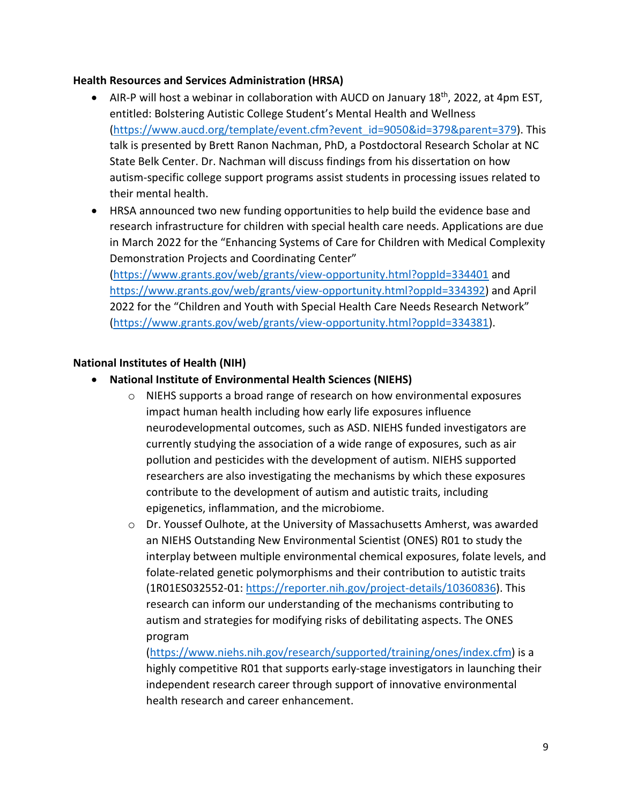#### **Health Resources and Services Administration (HRSA)**

- AIR-P will host a webinar in collaboration with AUCD on January  $18<sup>th</sup>$ , 2022, at 4pm EST, entitled: Bolstering Autistic College Student's Mental Health and Wellness [\(https://www.aucd.org/template/event.cfm?event\\_id=9050&id=379&parent=379\)](https://www.aucd.org/template/event.cfm?event_id=9050&id=379&parent=379). This talk is presented by Brett Ranon Nachman, PhD, a Postdoctoral Research Scholar at NC State Belk Center. Dr. Nachman will discuss findings from his dissertation on how autism-specific college support programs assist students in processing issues related to their mental health.
- HRSA announced two new funding opportunities to help build the evidence base and research infrastructure for children with special health care needs. Applications are due in March 2022 for the "Enhancing Systems of Care for Children with Medical Complexity Demonstration Projects and Coordinating Center" [\(https://www.grants.gov/web/grants/view-opportunity.html?oppId=334401](https://www.grants.gov/web/grants/view-opportunity.html?oppId=334401) and [https://www.grants.gov/web/grants/view-opportunity.html?oppId=334392\)](https://www.grants.gov/web/grants/view-opportunity.html?oppId=334392) and April

2022 for the "Children and Youth with Special Health Care Needs Research Network" [\(https://www.grants.gov/web/grants/view-opportunity.html?oppId=334381\)](https://www.grants.gov/web/grants/view-opportunity.html?oppId=334381).

#### **National Institutes of Health (NIH)**

- **National Institute of Environmental Health Sciences (NIEHS)**
	- o NIEHS supports a broad range of research on how environmental exposures impact human health including how early life exposures influence neurodevelopmental outcomes, such as ASD. NIEHS funded investigators are currently studying the association of a wide range of exposures, such as air pollution and pesticides with the development of autism. NIEHS supported researchers are also investigating the mechanisms by which these exposures contribute to the development of autism and autistic traits, including epigenetics, inflammation, and the microbiome.
	- $\circ$  Dr. Youssef Oulhote, at the University of Massachusetts Amherst, was awarded an NIEHS Outstanding New Environmental Scientist (ONES) R01 to study the interplay between multiple environmental chemical exposures, folate levels, and folate-related genetic polymorphisms and their contribution to autistic traits (1R01ES032552-01: [https://reporter.nih.gov/project-details/10360836\)](https://reporter.nih.gov/project-details/10360836). This research can inform our understanding of the mechanisms contributing to autism and strategies for modifying risks of debilitating aspects. The ONES program

[\(https://www.niehs.nih.gov/research/supported/training/ones/index.cfm\)](https://www.niehs.nih.gov/research/supported/training/ones/index.cfm) is a highly competitive R01 that supports early-stage investigators in launching their independent research career through support of innovative environmental health research and career enhancement.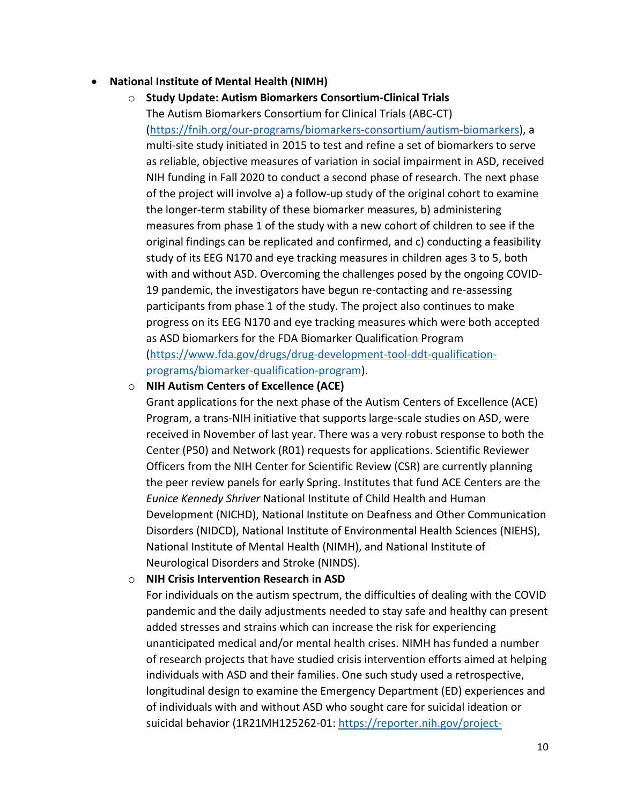#### • **National Institute of Mental Health (NIMH)**

o **Study Update: Autism Biomarkers Consortium-Clinical Trials** The Autism Biomarkers Consortium for Clinical Trials (ABC-CT) [\(https://fnih.org/our-programs/biomarkers-consortium/autism-biomarkers\)](https://fnih.org/our-programs/biomarkers-consortium/autism-biomarkers), a multi-site study initiated in 2015 to test and refine a set of biomarkers to serve as reliable, objective measures of variation in social impairment in ASD, received NIH funding in Fall 2020 to conduct a second phase of research. The next phase of the project will involve a) a follow-up study of the original cohort to examine the longer-term stability of these biomarker measures, b) administering measures from phase 1 of the study with a new cohort of children to see if the original findings can be replicated and confirmed, and c) conducting a feasibility study of its EEG N170 and eye tracking measures in children ages 3 to 5, both with and without ASD. Overcoming the challenges posed by the ongoing COVID-19 pandemic, the investigators have begun re-contacting and re-assessing participants from phase 1 of the study. The project also continues to make progress on its EEG N170 and eye tracking measures which were both accepted as ASD biomarkers for the FDA Biomarker Qualification Program [\(https://www.fda.gov/drugs/drug-development-tool-ddt-qualification](https://www.fda.gov/drugs/drug-development-tool-ddt-qualification-programs/biomarker-qualification-program)[programs/biomarker-qualification-program\)](https://www.fda.gov/drugs/drug-development-tool-ddt-qualification-programs/biomarker-qualification-program).

#### o **NIH Autism Centers of Excellence (ACE)**

Grant applications for the next phase of the Autism Centers of Excellence (ACE) Program, a trans-NIH initiative that supports large-scale studies on ASD, were received in November of last year. There was a very robust response to both the Center (P50) and Network (R01) requests for applications. Scientific Reviewer Officers from the NIH Center for Scientific Review (CSR) are currently planning the peer review panels for early Spring. Institutes that fund ACE Centers are the *Eunice Kennedy Shriver* National Institute of Child Health and Human Development (NICHD), National Institute on Deafness and Other Communication Disorders (NIDCD), National Institute of Environmental Health Sciences (NIEHS), National Institute of Mental Health (NIMH), and National Institute of Neurological Disorders and Stroke (NINDS).

#### o **NIH Crisis Intervention Research in ASD**

For individuals on the autism spectrum, the difficulties of dealing with the COVID pandemic and the daily adjustments needed to stay safe and healthy can present added stresses and strains which can increase the risk for experiencing unanticipated medical and/or mental health crises. NIMH has funded a number of research projects that have studied crisis intervention efforts aimed at helping individuals with ASD and their families. One such study used a retrospective, longitudinal design to examine the Emergency Department (ED) experiences and of individuals with and without ASD who sought care for suicidal ideation or suicidal behavior (1R21MH125262-01: [https://reporter.nih.gov/project-](https://reporter.nih.gov/project-details/10302533)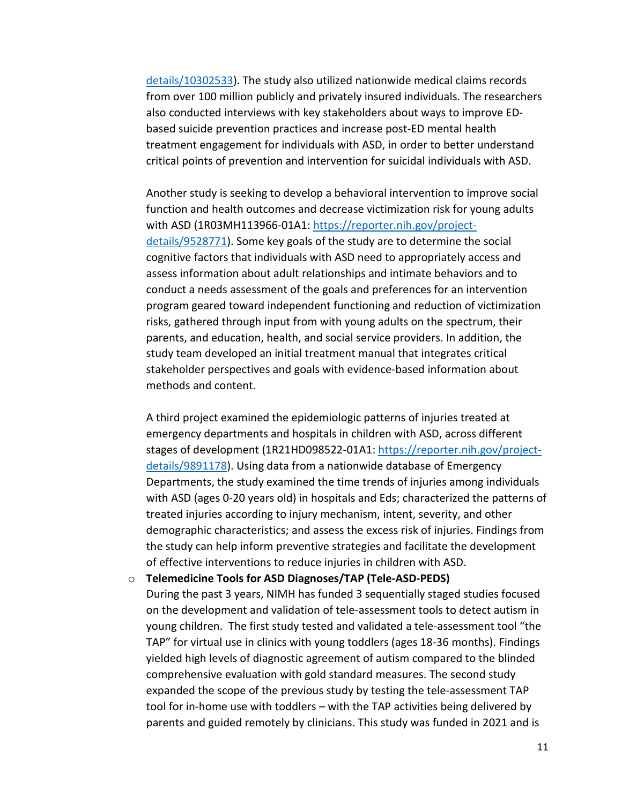[details/10302533\)](https://reporter.nih.gov/project-details/10302533). The study also utilized nationwide medical claims records from over 100 million publicly and privately insured individuals. The researchers also conducted interviews with key stakeholders about ways to improve EDbased suicide prevention practices and increase post-ED mental health treatment engagement for individuals with ASD, in order to better understand critical points of prevention and intervention for suicidal individuals with ASD.

Another study is seeking to develop a behavioral intervention to improve social function and health outcomes and decrease victimization risk for young adults with ASD (1R03MH113966-01A1: [https://reporter.nih.gov/project](https://reporter.nih.gov/project-details/9528771)[details/9528771\)](https://reporter.nih.gov/project-details/9528771). Some key goals of the study are to determine the social cognitive factors that individuals with ASD need to appropriately access and assess information about adult relationships and intimate behaviors and to conduct a needs assessment of the goals and preferences for an intervention program geared toward independent functioning and reduction of victimization risks, gathered through input from with young adults on the spectrum, their parents, and education, health, and social service providers. In addition, the study team developed an initial treatment manual that integrates critical stakeholder perspectives and goals with evidence-based information about methods and content.

A third project examined the epidemiologic patterns of injuries treated at emergency departments and hospitals in children with ASD, across different stages of development (1R21HD098522-01A1: [https://reporter.nih.gov/project](https://reporter.nih.gov/project-details/9891178)[details/9891178\)](https://reporter.nih.gov/project-details/9891178). Using data from a nationwide database of Emergency Departments, the study examined the time trends of injuries among individuals with ASD (ages 0-20 years old) in hospitals and Eds; characterized the patterns of treated injuries according to injury mechanism, intent, severity, and other demographic characteristics; and assess the excess risk of injuries. Findings from the study can help inform preventive strategies and facilitate the development of effective interventions to reduce injuries in children with ASD.

o **Telemedicine Tools for ASD Diagnoses/TAP (Tele-ASD-PEDS)** During the past 3 years, NIMH has funded 3 sequentially staged studies focused on the development and validation of tele-assessment tools to detect autism in young children. The first study tested and validated a tele-assessment tool "the TAP" for virtual use in clinics with young toddlers (ages 18-36 months). Findings yielded high levels of diagnostic agreement of autism compared to the blinded comprehensive evaluation with gold standard measures. The second study expanded the scope of the previous study by testing the tele-assessment TAP tool for in-home use with toddlers – with the TAP activities being delivered by parents and guided remotely by clinicians. This study was funded in 2021 and is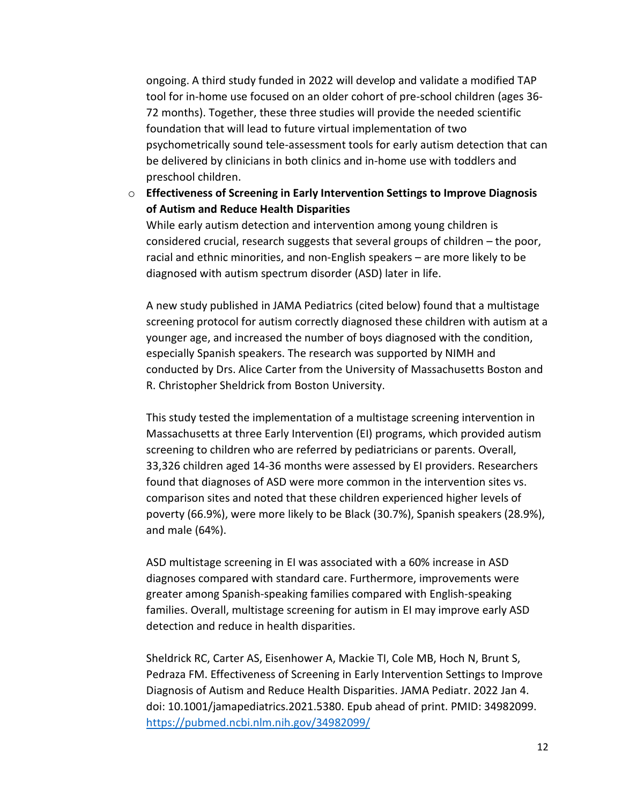ongoing. A third study funded in 2022 will develop and validate a modified TAP tool for in-home use focused on an older cohort of pre-school children (ages 36- 72 months). Together, these three studies will provide the needed scientific foundation that will lead to future virtual implementation of two psychometrically sound tele-assessment tools for early autism detection that can be delivered by clinicians in both clinics and in-home use with toddlers and preschool children.

o **Effectiveness of Screening in Early Intervention Settings to Improve Diagnosis of Autism and Reduce Health Disparities**

While early autism detection and intervention among young children is considered crucial, research suggests that several groups of children – the poor, racial and ethnic minorities, and non-English speakers – are more likely to be diagnosed with autism spectrum disorder (ASD) later in life.

A new study published in JAMA Pediatrics (cited below) found that a multistage screening protocol for autism correctly diagnosed these children with autism at a younger age, and increased the number of boys diagnosed with the condition, especially Spanish speakers. The research was supported by NIMH and conducted by Drs. Alice Carter from the University of Massachusetts Boston and R. Christopher Sheldrick from Boston University.

This study tested the implementation of a multistage screening intervention in Massachusetts at three Early Intervention (EI) programs, which provided autism screening to children who are referred by pediatricians or parents. Overall, 33,326 children aged 14-36 months were assessed by EI providers. Researchers found that diagnoses of ASD were more common in the intervention sites vs. comparison sites and noted that these children experienced higher levels of poverty (66.9%), were more likely to be Black (30.7%), Spanish speakers (28.9%), and male (64%).

ASD multistage screening in EI was associated with a 60% increase in ASD diagnoses compared with standard care. Furthermore, improvements were greater among Spanish-speaking families compared with English-speaking families. Overall, multistage screening for autism in EI may improve early ASD detection and reduce in health disparities.

Sheldrick RC, Carter AS, Eisenhower A, Mackie TI, Cole MB, Hoch N, Brunt S, Pedraza FM. Effectiveness of Screening in Early Intervention Settings to Improve Diagnosis of Autism and Reduce Health Disparities. JAMA Pediatr. 2022 Jan 4. doi: 10.1001/jamapediatrics.2021.5380. Epub ahead of print. PMID: 34982099. <https://pubmed.ncbi.nlm.nih.gov/34982099/>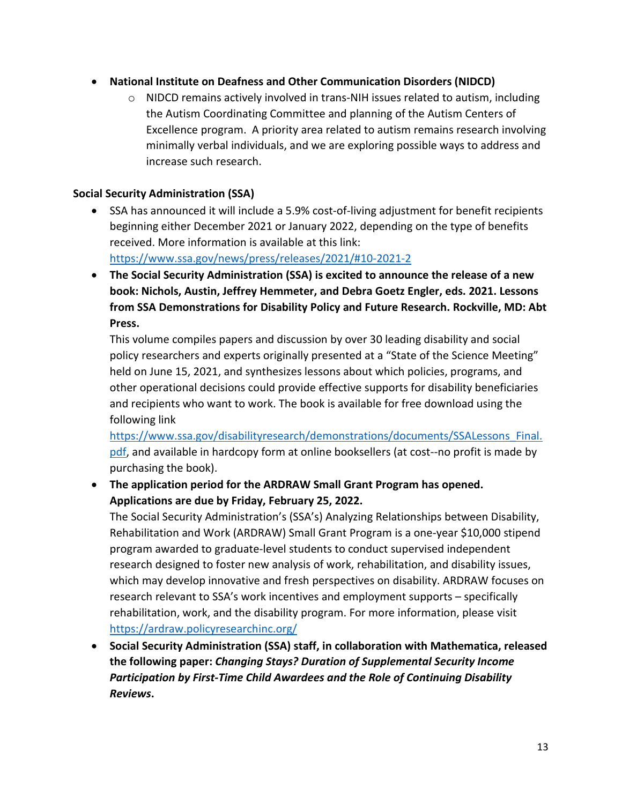- **National Institute on Deafness and Other Communication Disorders (NIDCD)**
	- $\circ$  NIDCD remains actively involved in trans-NIH issues related to autism, including the Autism Coordinating Committee and planning of the Autism Centers of Excellence program. A priority area related to autism remains research involving minimally verbal individuals, and we are exploring possible ways to address and increase such research.

#### **Social Security Administration (SSA)**

- SSA has announced it will include a 5.9% cost-of-living adjustment for benefit recipients beginning either December 2021 or January 2022, depending on the type of benefits received. More information is available at this link: <https://www.ssa.gov/news/press/releases/2021/#10-2021-2>
- **The Social Security Administration (SSA) is excited to announce the release of a new book: Nichols, Austin, Jeffrey Hemmeter, and Debra Goetz Engler, eds. 2021. Lessons from SSA Demonstrations for Disability Policy and Future Research. Rockville, MD: Abt Press.**

This volume compiles papers and discussion by over 30 leading disability and social policy researchers and experts originally presented at a "State of the Science Meeting" held on June 15, 2021, and synthesizes lessons about which policies, programs, and other operational decisions could provide effective supports for disability beneficiaries and recipients who want to work. The book is available for free download using the following link

[https://www.ssa.gov/disabilityresearch/demonstrations/documents/SSALessons\\_Final.](https://www.ssa.gov/disabilityresearch/demonstrations/documents/SSALessons_Final.pdf) [pdf,](https://www.ssa.gov/disabilityresearch/demonstrations/documents/SSALessons_Final.pdf) and available in hardcopy form at online booksellers (at cost--no profit is made by purchasing the book).

• **The application period for the ARDRAW Small Grant Program has opened. Applications are due by Friday, February 25, 2022.** 

The Social Security Administration's (SSA's) Analyzing Relationships between Disability, Rehabilitation and Work (ARDRAW) Small Grant Program is a one-year \$10,000 stipend program awarded to graduate-level students to conduct supervised independent research designed to foster new analysis of work, rehabilitation, and disability issues, which may develop innovative and fresh perspectives on disability. ARDRAW focuses on research relevant to SSA's work incentives and employment supports – specifically rehabilitation, work, and the disability program. For more information, please visit <https://ardraw.policyresearchinc.org/>

• **Social Security Administration (SSA) staff, in collaboration with Mathematica, released the following paper:** *Changing Stays? Duration of Supplemental Security Income Participation by First-Time Child Awardees and the Role of Continuing Disability Reviews***.**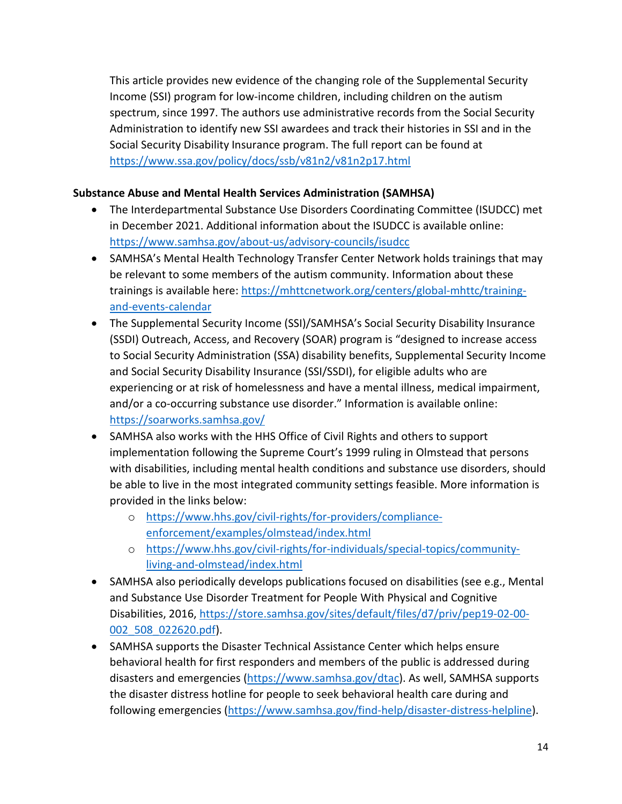This article provides new evidence of the changing role of the Supplemental Security Income (SSI) program for low-income children, including children on the autism spectrum, since 1997. The authors use administrative records from the Social Security Administration to identify new SSI awardees and track their histories in SSI and in the Social Security Disability Insurance program. The full report can be found at <https://www.ssa.gov/policy/docs/ssb/v81n2/v81n2p17.html>

## **Substance Abuse and Mental Health Services Administration (SAMHSA)**

- The Interdepartmental Substance Use Disorders Coordinating Committee (ISUDCC) met in December 2021. Additional information about the ISUDCC is available online: <https://www.samhsa.gov/about-us/advisory-councils/isudcc>
- SAMHSA's Mental Health Technology Transfer Center Network holds trainings that may be relevant to some members of the autism community. Information about these trainings is available here: [https://mhttcnetwork.org/centers/global-mhttc/training](https://mhttcnetwork.org/centers/global-mhttc/training-and-events-calendar)[and-events-calendar](https://mhttcnetwork.org/centers/global-mhttc/training-and-events-calendar)
- The Supplemental Security Income (SSI)/SAMHSA's Social Security Disability Insurance (SSDI) Outreach, Access, and Recovery (SOAR) program is "designed to increase access to Social Security Administration (SSA) disability benefits, Supplemental Security Income and Social Security Disability Insurance (SSI/SSDI), for eligible adults who are experiencing or at risk of homelessness and have a mental illness, medical impairment, and/or a co-occurring substance use disorder." Information is available online: <https://soarworks.samhsa.gov/>
- SAMHSA also works with the HHS Office of Civil Rights and others to support implementation following the Supreme Court's 1999 ruling in Olmstead that persons with disabilities, including mental health conditions and substance use disorders, should be able to live in the most integrated community settings feasible. More information is provided in the links below:
	- o [https://www.hhs.gov/civil-rights/for-providers/compliance](https://www.hhs.gov/civil-rights/for-providers/compliance-enforcement/examples/olmstead/index.html)[enforcement/examples/olmstead/index.html](https://www.hhs.gov/civil-rights/for-providers/compliance-enforcement/examples/olmstead/index.html)
	- o [https://www.hhs.gov/civil-rights/for-individuals/special-topics/community](https://www.hhs.gov/civil-rights/for-individuals/special-topics/community-living-and-olmstead/index.html)[living-and-olmstead/index.html](https://www.hhs.gov/civil-rights/for-individuals/special-topics/community-living-and-olmstead/index.html)
- SAMHSA also periodically develops publications focused on disabilities (see e.g., Mental and Substance Use Disorder Treatment for People With Physical and Cognitive Disabilities, 2016, [https://store.samhsa.gov/sites/default/files/d7/priv/pep19-02-00-](https://store.samhsa.gov/sites/default/files/d7/priv/pep19-02-00-002_508_022620.pdf) [002\\_508\\_022620.pdf\)](https://store.samhsa.gov/sites/default/files/d7/priv/pep19-02-00-002_508_022620.pdf).
- SAMHSA supports the Disaster Technical Assistance Center which helps ensure behavioral health for first responders and members of the public is addressed during disasters and emergencies [\(https://www.samhsa.gov/dtac\)](https://www.samhsa.gov/dtac). As well, SAMHSA supports the disaster distress hotline for people to seek behavioral health care during and following emergencies [\(https://www.samhsa.gov/find-help/disaster-distress-helpline\)](https://www.samhsa.gov/find-help/disaster-distress-helpline).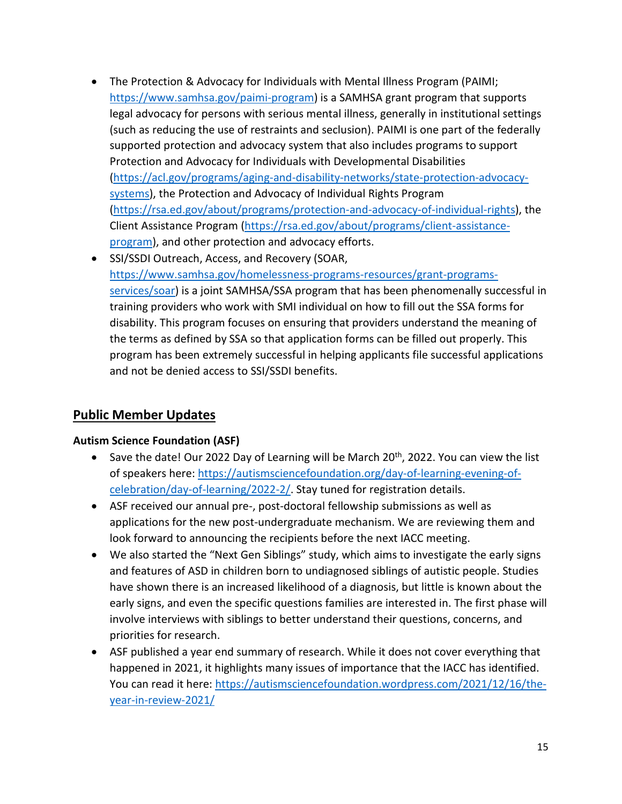- The Protection & Advocacy for Individuals with Mental Illness Program (PAIMI; [https://www.samhsa.gov/paimi-program\)](https://www.samhsa.gov/paimi-program) is a SAMHSA grant program that supports legal advocacy for persons with serious mental illness, generally in institutional settings (such as reducing the use of restraints and seclusion). PAIMI is one part of the federally supported protection and advocacy system that also includes programs to support Protection and Advocacy for Individuals with Developmental Disabilities [\(https://acl.gov/programs/aging-and-disability-networks/state-protection-advocacy](https://acl.gov/programs/aging-and-disability-networks/state-protection-advocacy-systems)[systems\)](https://acl.gov/programs/aging-and-disability-networks/state-protection-advocacy-systems), the Protection and Advocacy of Individual Rights Program [\(https://rsa.ed.gov/about/programs/protection-and-advocacy-of-individual-rights\)](https://rsa.ed.gov/about/programs/protection-and-advocacy-of-individual-rights), the Client Assistance Program [\(https://rsa.ed.gov/about/programs/client-assistance](https://rsa.ed.gov/about/programs/client-assistance-program)[program\)](https://rsa.ed.gov/about/programs/client-assistance-program), and other protection and advocacy efforts.
- SSI/SSDI Outreach, Access, and Recovery (SOAR, [https://www.samhsa.gov/homelessness-programs-resources/grant-programs](https://www.samhsa.gov/homelessness-programs-resources/grant-programs-services/soar)[services/soar\)](https://www.samhsa.gov/homelessness-programs-resources/grant-programs-services/soar) is a joint SAMHSA/SSA program that has been phenomenally successful in training providers who work with SMI individual on how to fill out the SSA forms for disability. This program focuses on ensuring that providers understand the meaning of the terms as defined by SSA so that application forms can be filled out properly. This program has been extremely successful in helping applicants file successful applications and not be denied access to SSI/SSDI benefits.

# **Public Member Updates**

## **Autism Science Foundation (ASF)**

- Save the date! Our 2022 Day of Learning will be March 20<sup>th</sup>, 2022. You can view the list of speakers here: [https://autismsciencefoundation.org/day-of-learning-evening-of](https://autismsciencefoundation.org/day-of-learning-evening-of-celebration/day-of-learning/2022-2/)[celebration/day-of-learning/2022-2/.](https://autismsciencefoundation.org/day-of-learning-evening-of-celebration/day-of-learning/2022-2/) Stay tuned for registration details.
- ASF received our annual pre-, post-doctoral fellowship submissions as well as applications for the new post-undergraduate mechanism. We are reviewing them and look forward to announcing the recipients before the next IACC meeting.
- We also started the "Next Gen Siblings" study, which aims to investigate the early signs and features of ASD in children born to undiagnosed siblings of autistic people. Studies have shown there is an increased likelihood of a diagnosis, but little is known about the early signs, and even the specific questions families are interested in. The first phase will involve interviews with siblings to better understand their questions, concerns, and priorities for research.
- ASF published a year end summary of research. While it does not cover everything that happened in 2021, it highlights many issues of importance that the IACC has identified. You can read it here: [https://autismsciencefoundation.wordpress.com/2021/12/16/the](https://autismsciencefoundation.wordpress.com/2021/12/16/the-year-in-review-2021/)[year-in-review-2021/](https://autismsciencefoundation.wordpress.com/2021/12/16/the-year-in-review-2021/)